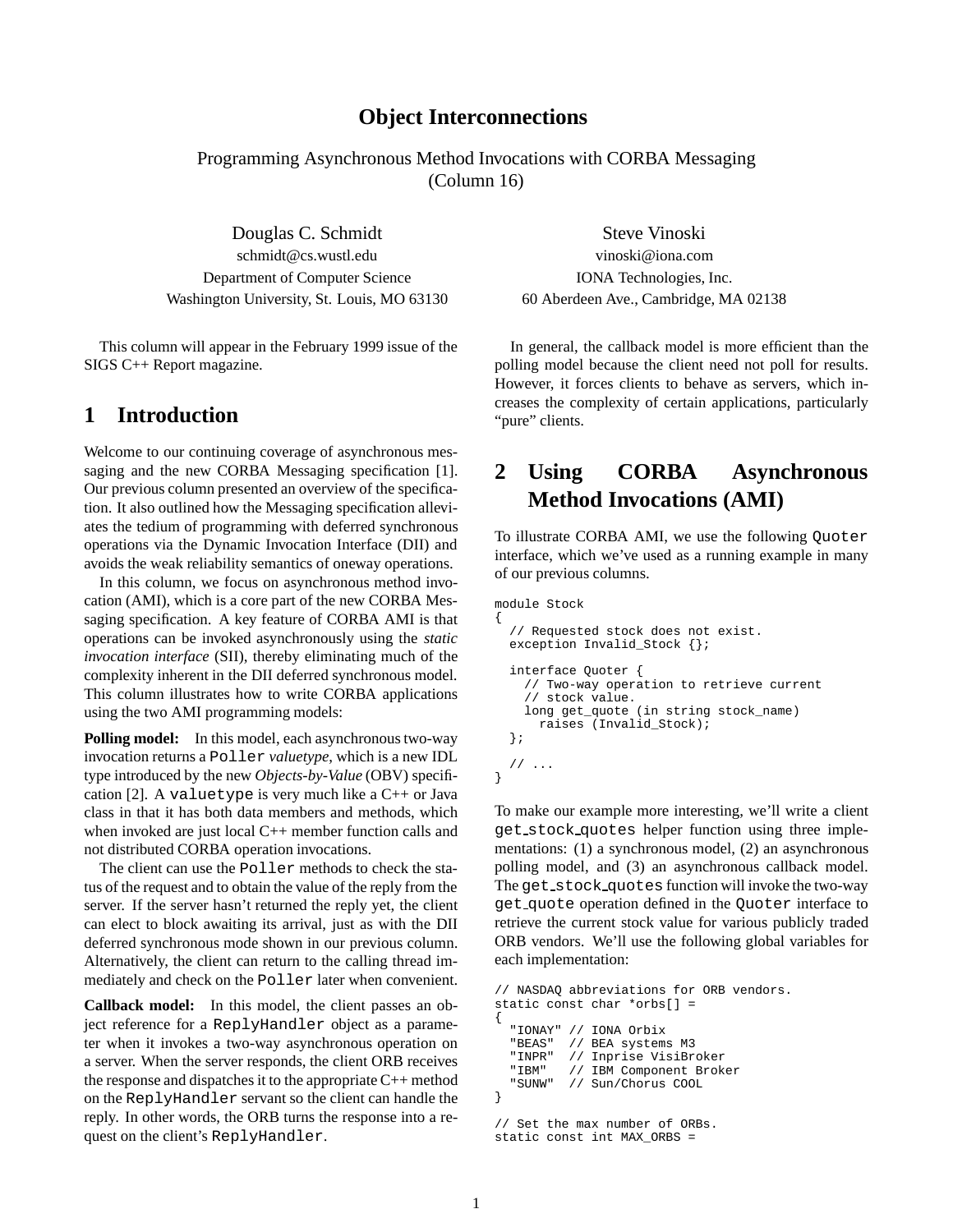### **Object Interconnections**

Programming Asynchronous Method Invocations with CORBA Messaging (Column 16)

schmidt@cs.wustl.edu vinoski@iona.com Department of Computer Science IONA Technologies, Inc. Washington University, St. Louis, MO 63130 60 Aberdeen Ave., Cambridge, MA 02138

This column will appear in the February 1999 issue of the SIGS C++ Report magazine.

### **1 Introduction**

Welcome to our continuing coverage of asynchronous messaging and the new CORBA Messaging specification [1]. Our previous column presented an overview of the specification. It also outlined how the Messaging specification alleviates the tedium of programming with deferred synchronous operations via the Dynamic Invocation Interface (DII) and avoids the weak reliability semantics of oneway operations.

In this column, we focus on asynchronous method invocation (AMI), which is a core part of the new CORBA Messaging specification. A key feature of CORBA AMI is that operations can be invoked asynchronously using the *static invocation interface* (SII), thereby eliminating much of the complexity inherent in the DII deferred synchronous model. This column illustrates how to write CORBA applications using the two AMI programming models:

**Polling model:** In this model, each asynchronous two-way invocation returns a Poller *valuetype*, which is a new IDL type introduced by the new *Objects-by-Value* (OBV) specification [2]. A valuetype is very much like a C++ or Java class in that it has both data members and methods, which when invoked are just local C++ member function calls and not distributed CORBA operation invocations.

The client can use the Poller methods to check the status of the request and to obtain the value of the reply from the server. If the server hasn't returned the reply yet, the client can elect to block awaiting its arrival, just as with the DII deferred synchronous mode shown in our previous column. Alternatively, the client can return to the calling thread immediately and check on the Poller later when convenient.

**Callback model:** In this model, the client passes an object reference for a ReplyHandler object as a parameter when it invokes a two-way asynchronous operation on a server. When the server responds, the client ORB receives the response and dispatches it to the appropriate C++ method on the ReplyHandler servant so the client can handle the reply. In other words, the ORB turns the response into a request on the client's ReplyHandler.

Douglas C. Schmidt Steve Vinoski

In general, the callback model is more efficient than the polling model because the client need not poll for results. However, it forces clients to behave as servers, which increases the complexity of certain applications, particularly "pure" clients.

# **2 Using CORBA Asynchronous Method Invocations (AMI)**

To illustrate CORBA AMI, we use the following Quoter interface, which we've used as a running example in many of our previous columns.

```
module Stock
{
  // Requested stock does not exist.
 exception Invalid_Stock {};
  interface Quoter {
    // Two-way operation to retrieve current
    // stock value.
    long get_quote (in string stock_name)
      raises (Invalid_Stock);
  };
  // ...
}
```
To make our example more interesting, we'll write a client get stock quotes helper function using three implementations: (1) a synchronous model, (2) an asynchronous polling model, and (3) an asynchronous callback model. The get stock quotes function will invoke the two-way get quote operation defined in the Quoter interface to retrieve the current stock value for various publicly traded ORB vendors. We'll use the following global variables for each implementation:

```
// NASDAQ abbreviations for ORB vendors.
static const char *orbs[] =
{
  "IONAY" // IONA Orbix<br>"BEAS" // BEA system;
            // BEA systems M3
  "INPR" // Inprise VisiBroker
   "IBM" // IBM Component Broker<br>"SUNW" // Sun/Chorus COOL
            // Sun/Chorus COOL
}
// Set the max number of ORBs.
```

```
static const int MAX_ORBS =
```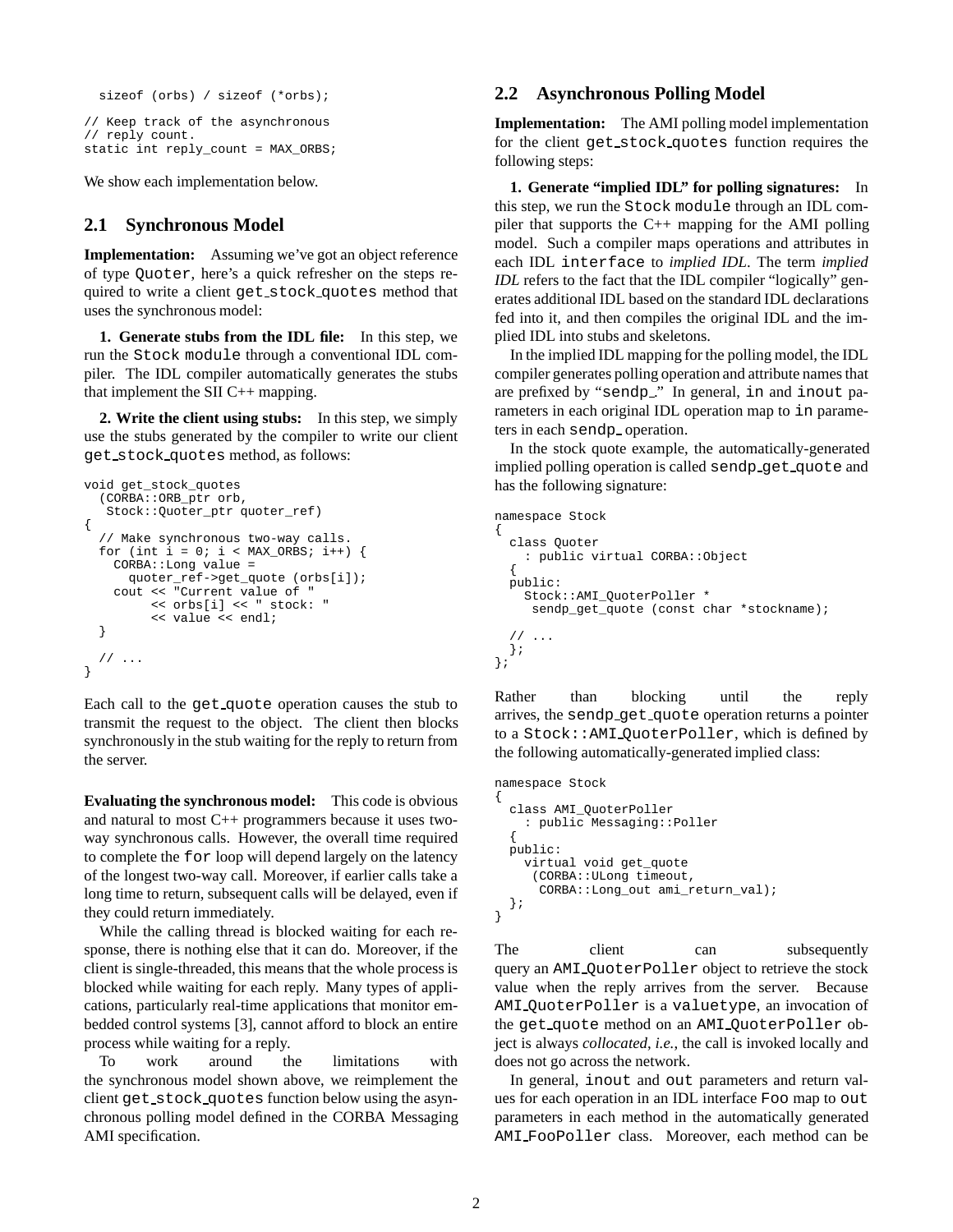```
sizeof (orbs) / sizeof (*orbs);
```

```
// Keep track of the asynchronous
// reply count.
static int reply_count = MAX_ORBS;
```
We show each implementation below.

#### **2.1 Synchronous Model**

**Implementation:** Assuming we've got an object reference of type Quoter, here's a quick refresher on the steps required to write a client get stock quotes method that uses the synchronous model:

**1. Generate stubs from the IDL file:** In this step, we run the Stock module through a conventional IDL compiler. The IDL compiler automatically generates the stubs that implement the SII  $C_{++}$  mapping.

**2. Write the client using stubs:** In this step, we simply use the stubs generated by the compiler to write our client get stock quotes method, as follows:

```
void get_stock_quotes
  (CORBA::ORB_ptr orb,
   Stock::Quoter_ptr quoter_ref)
{
  // Make synchronous two-way calls.
  for (int i = 0; i < MAX ORBS; i++) {
    CORBA::Long value =
      quoter_ref->get_quote (orbs[i]);
    cout << "Current value of "
         << orbs[i] << " stock: "
         << value << endl;
  }
  // ...
}
```
Each call to the get quote operation causes the stub to transmit the request to the object. The client then blocks synchronously in the stub waiting for the reply to return from the server.

**Evaluating the synchronous model:** This code is obvious and natural to most C++ programmers because it uses twoway synchronous calls. However, the overall time required to complete the for loop will depend largely on the latency of the longest two-way call. Moreover, if earlier calls take a long time to return, subsequent calls will be delayed, even if they could return immediately.

While the calling thread is blocked waiting for each response, there is nothing else that it can do. Moreover, if the client is single-threaded, this means that the whole process is blocked while waiting for each reply. Many types of applications, particularly real-time applications that monitor embedded control systems [3], cannot afford to block an entire process while waiting for a reply.

To work around the limitations with the synchronous model shown above, we reimplement the client get stock quotes function below using the asynchronous polling model defined in the CORBA Messaging AMI specification.

#### **2.2 Asynchronous Polling Model**

**Implementation:** The AMI polling model implementation for the client get stock quotes function requires the following steps:

**1. Generate "implied IDL" for polling signatures:** In this step, we run the Stock module through an IDL compiler that supports the  $C_{++}$  mapping for the AMI polling model. Such a compiler maps operations and attributes in each IDL interface to *implied IDL*. The term *implied IDL* refers to the fact that the IDL compiler "logically" generates additional IDL based on the standard IDL declarations fed into it, and then compiles the original IDL and the implied IDL into stubs and skeletons.

In the implied IDL mapping for the polling model, the IDL compiler generates polling operation and attribute names that are prefixed by "sendp\_" In general, in and inout parameters in each original IDL operation map to in parameters in each sendp operation.

In the stock quote example, the automatically-generated implied polling operation is called sendp get quote and has the following signature:

```
namespace Stock
{
  class Quoter
    : public virtual CORBA::Object
  {
  public:
    Stock::AMI_QuoterPoller *
     sendp_get_quote (const char *stockname);
  // ...
  };
};
```
Rather than blocking until the reply arrives, the sendp get quote operation returns a pointer to a Stock::AMI QuoterPoller, which is defined by the following automatically-generated implied class:

```
namespace Stock
{
 class AMI_QuoterPoller
    : public Messaging::Poller
  {
 public:
    virtual void get_quote
     (CORBA::ULong timeout,
      CORBA::Long_out ami_return_val);
 };
}
```
The client can subsequently query an AMI QuoterPoller object to retrieve the stock value when the reply arrives from the server. Because AMI QuoterPoller is a valuetype, an invocation of the get quote method on an AMI QuoterPoller object is always *collocated*, *i.e.*, the call is invoked locally and does not go across the network.

In general, inout and out parameters and return values for each operation in an IDL interface Foo map to out parameters in each method in the automatically generated AMI FooPoller class. Moreover, each method can be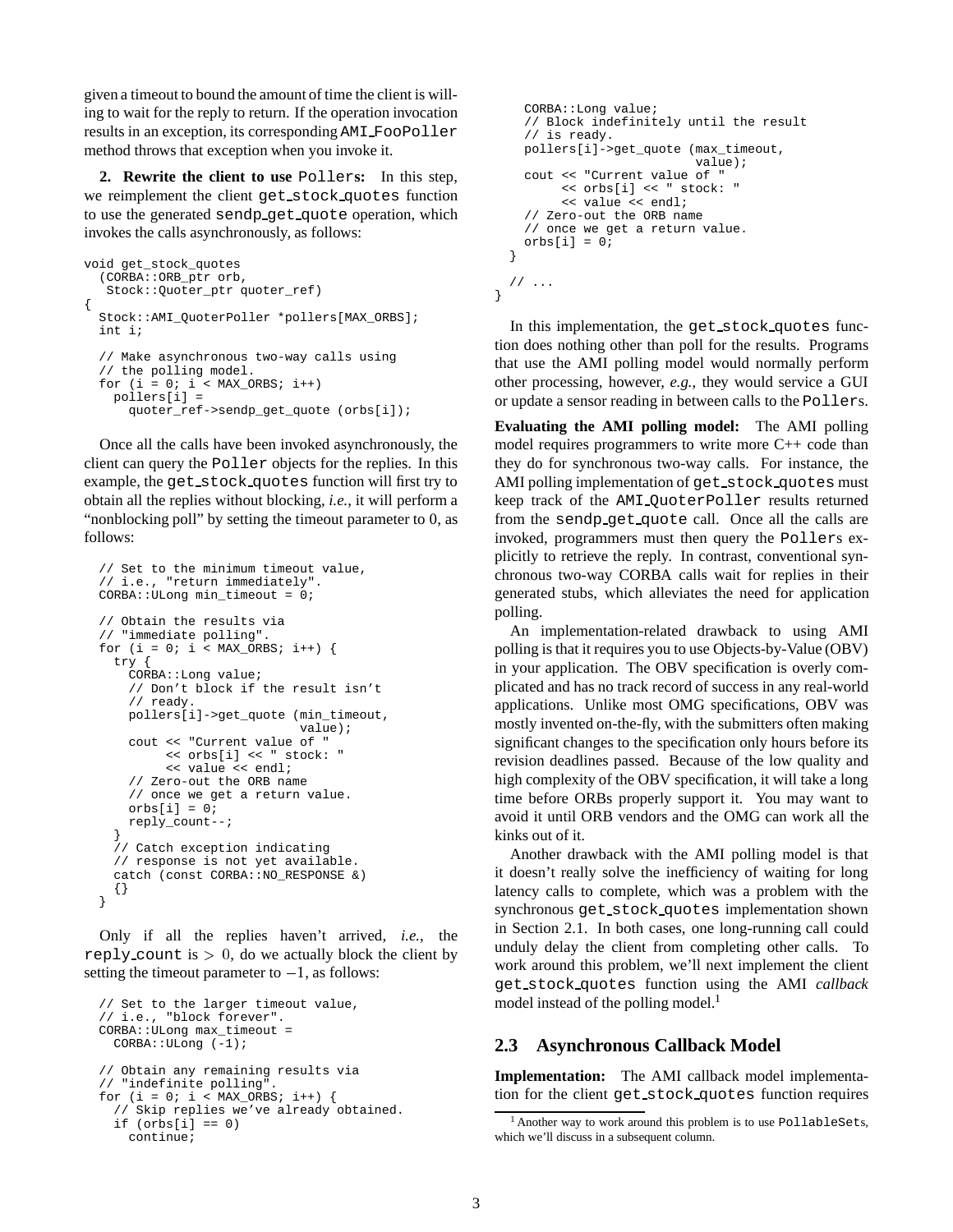given a timeout to bound the amount of time the client is willing to wait for the reply to return. If the operation invocation results in an exception, its corresponding AMI FooPoller method throws that exception when you invoke it.

**2. Rewrite the client to use** Poller**s:** In this step, we reimplement the client get stock quotes function to use the generated sendp get quote operation, which invokes the calls asynchronously, as follows:

```
void get_stock_quotes
  (CORBA::ORB_ptr orb,
   Stock::Quoter_ptr quoter_ref)
{
  Stock::AMI_QuoterPoller *pollers[MAX_ORBS];
  int i;
  // Make asynchronous two-way calls using
  // the polling model.
  for (i = 0; i < MAX_ORBS; i++)pollers[i] =
      quoter_ref->sendp_get_quote (orbs[i]);
```
Once all the calls have been invoked asynchronously, the client can query the Poller objects for the replies. In this example, the get stock quotes function will first try to obtain all the replies without blocking, *i.e.*, it will perform a "nonblocking poll" by setting the timeout parameter to 0, as follows:

```
// Set to the minimum timeout value,
// i.e., "return immediately".
CORBA::ULong min_timeout = 0;
// Obtain the results via
// "immediate polling".
for (i = 0; i < MAX_ORBS; i++) {
 try {
    CORBA::Long value;
    // Don't block if the result isn't
    // ready.
    pollers[i]->get_quote (min_timeout,
                           value);
    cout << "Current value of "
         << orbs[i] << " stock: "
         << value << endl;
    // Zero-out the ORB name
    // once we get a return value.
    orbs[i] = 0;reply_count--;
  }
  // Catch exception indicating
  // response is not yet available.
 catch (const CORBA::NO RESPONSE &)
  {}
}
```
Only if all the replies haven't arrived, *i.e.*, the reply count is  $> 0$ , do we actually block the client by setting the timeout parameter to  $-1$ , as follows:

```
// Set to the larger timeout value,
// i.e., "block forever".
CORBA::ULong max_timeout =
 CORBA::ULong (-1);
// Obtain any remaining results via
// "indefinite polling".
for (i = 0; i < MAX_ORBS; i++) {
  // Skip replies we've already obtained.
  if (orbs[i] == 0)continue;
```

```
CORBA::Long value;
   // Block indefinitely until the result
   // is ready.
   pollers[i]->get_quote (max_timeout,
                           value);
   cout << "Current value of "
        << orbs[i] << " stock: "
        << value << endl;
   // Zero-out the ORB name
   // once we get a return value.
   orbs[i] = 0;}
 // ...
}
```
In this implementation, the get stock quotes function does nothing other than poll for the results. Programs that use the AMI polling model would normally perform other processing, however, *e.g.*, they would service a GUI or update a sensor reading in between calls to the Pollers.

**Evaluating the AMI polling model:** The AMI polling model requires programmers to write more C++ code than they do for synchronous two-way calls. For instance, the AMI polling implementation of get stock quotes must keep track of the AMI QuoterPoller results returned from the sendp get quote call. Once all the calls are invoked, programmers must then query the Pollers explicitly to retrieve the reply. In contrast, conventional synchronous two-way CORBA calls wait for replies in their generated stubs, which alleviates the need for application polling.

An implementation-related drawback to using AMI polling is that it requires you to use Objects-by-Value (OBV) in your application. The OBV specification is overly complicated and has no track record of success in any real-world applications. Unlike most OMG specifications, OBV was mostly invented on-the-fly, with the submitters often making significant changes to the specification only hours before its revision deadlines passed. Because of the low quality and high complexity of the OBV specification, it will take a long time before ORBs properly support it. You may want to avoid it until ORB vendors and the OMG can work all the kinks out of it.

Another drawback with the AMI polling model is that it doesn't really solve the inefficiency of waiting for long latency calls to complete, which was a problem with the synchronous get stock quotes implementation shown in Section 2.1. In both cases, one long-running call could unduly delay the client from completing other calls. To work around this problem, we'll next implement the client get stock quotes function using the AMI *callback* model instead of the polling model. $<sup>1</sup>$ </sup>

#### **2.3 Asynchronous Callback Model**

**Implementation:** The AMI callback model implementation for the client get stock quotes function requires

<sup>1</sup> Another way to work around this problem is to use PollableSets, which we'll discuss in a subsequent column.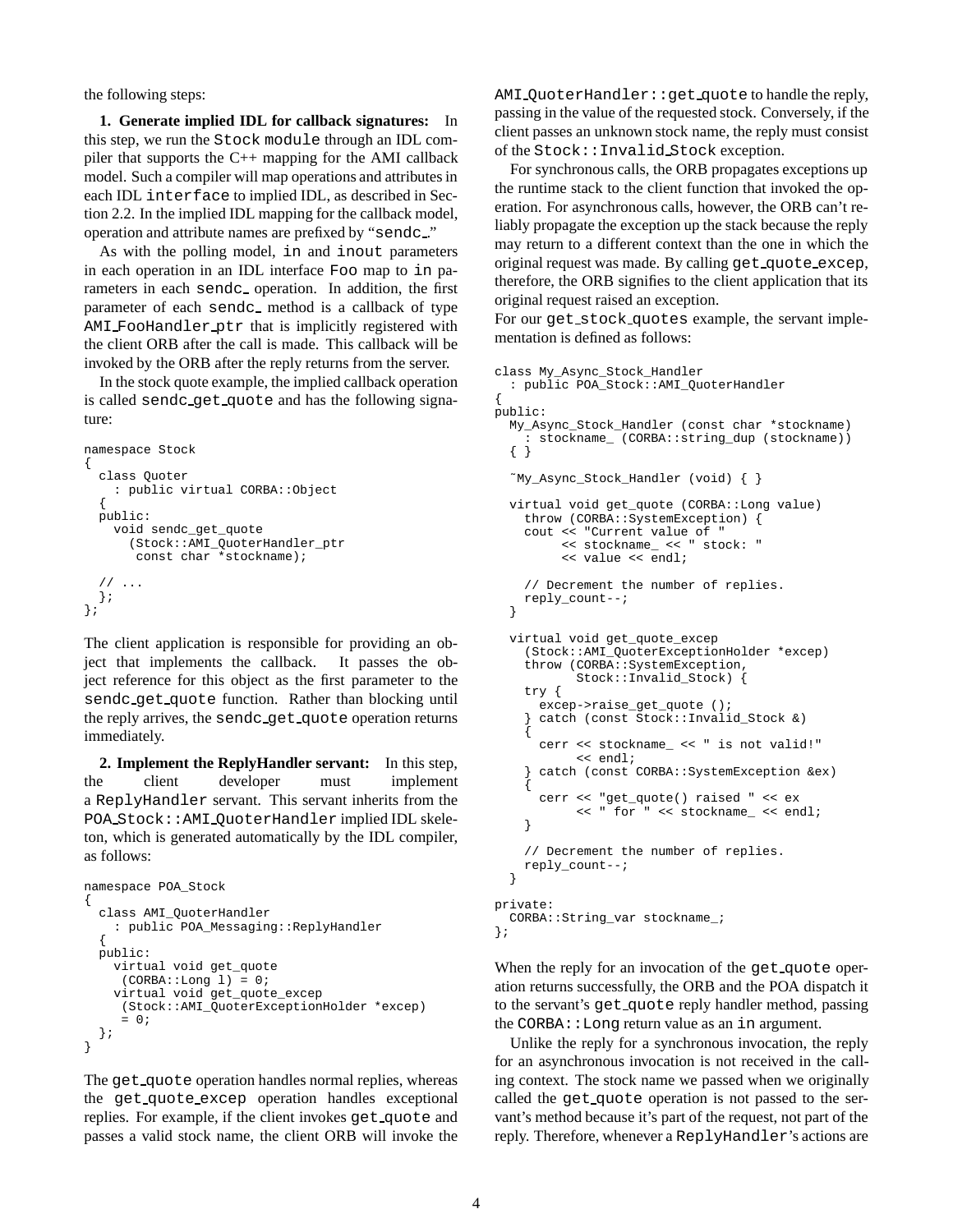the following steps:

**1. Generate implied IDL for callback signatures:** In this step, we run the Stock module through an IDL compiler that supports the C++ mapping for the AMI callback model. Such a compiler will map operations and attributes in each IDL interface to implied IDL, as described in Section 2.2. In the implied IDL mapping for the callback model, operation and attribute names are prefixed by "sendc ."

As with the polling model, in and inout parameters in each operation in an IDL interface Foo map to in parameters in each sendc\_operation. In addition, the first parameter of each sendc method is a callback of type AMI FooHandler ptr that is implicitly registered with the client ORB after the call is made. This callback will be invoked by the ORB after the reply returns from the server.

In the stock quote example, the implied callback operation is called sendc get quote and has the following signature:

```
namespace Stock
{
 class Quoter
    : public virtual CORBA::Object
  {
 public:
    void sendc_get_quote
      (Stock::AMI_QuoterHandler_ptr
       const char *stockname);
  // ...
 };
};
```
The client application is responsible for providing an object that implements the callback. It passes the object reference for this object as the first parameter to the sendc get quote function. Rather than blocking until the reply arrives, the sendc get quote operation returns immediately.

**2. Implement the ReplyHandler servant:** In this step, the client developer must implement a ReplyHandler servant. This servant inherits from the POA Stock::AMI QuoterHandler implied IDL skeleton, which is generated automatically by the IDL compiler, as follows:

```
namespace POA_Stock
{
  class AMI_QuoterHandler
    : public POA_Messaging::ReplyHandler
  {
  public:
   virtual void get_quote
     (CORBA::Long 1) = 0;virtual void get_quote_excep
     (Stock::AMI_QuoterExceptionHolder *excep)
     = 0;};
}
```
The get quote operation handles normal replies, whereas the get quote excep operation handles exceptional replies. For example, if the client invokes get quote and passes a valid stock name, the client ORB will invoke the

AMI QuoterHandler::get quote to handle the reply, passing in the value of the requested stock. Conversely, if the client passes an unknown stock name, the reply must consist of the Stock::Invalid Stock exception.

For synchronous calls, the ORB propagates exceptions up the runtime stack to the client function that invoked the operation. For asynchronous calls, however, the ORB can't reliably propagate the exception up the stack because the reply may return to a different context than the one in which the original request was made. By calling get quote excep, therefore, the ORB signifies to the client application that its original request raised an exception.

For our get stock quotes example, the servant implementation is defined as follows:

```
class My_Async_Stock_Handler
  : public POA_Stock::AMI_QuoterHandler
{
public:
  My_Async_Stock_Handler (const char *stockname)
     : stockname_ (CORBA::string_dup (stockname))
  { }
  ˜My_Async_Stock_Handler (void) { }
  virtual void get_quote (CORBA::Long value)
    throw (CORBA::SystemException) {
    cout << "Current value of "
         << stockname_ << " stock: "
         << value << endl;
    // Decrement the number of replies.
    reply_count--;
  }
  virtual void get_quote_excep
    (Stock::AMI_QuoterExceptionHolder *excep)
    throw (CORBA::SystemException,
           Stock::Invalid Stock) {
    try {
      excep->raise_get_quote ();
      catch (const Stock::Invalid_Stock &)
    {
      cerr << stockname_ << " is not valid!"
           << endl;
      catch (const CORBA::SystemException &ex)
    {
      cerr << "get_quote() raised " << ex
           << " for " << stockname_ << endl;
    }
    // Decrement the number of replies.
    reply_count--;
  }
private:
 CORBA::String_var stockname_;
```

```
};
```
When the reply for an invocation of the get quote operation returns successfully, the ORB and the POA dispatch it to the servant's get quote reply handler method, passing the CORBA: : Long return value as an in argument.

Unlike the reply for a synchronous invocation, the reply for an asynchronous invocation is not received in the calling context. The stock name we passed when we originally called the get quote operation is not passed to the servant's method because it's part of the request, not part of the reply. Therefore, whenever a ReplyHandler's actions are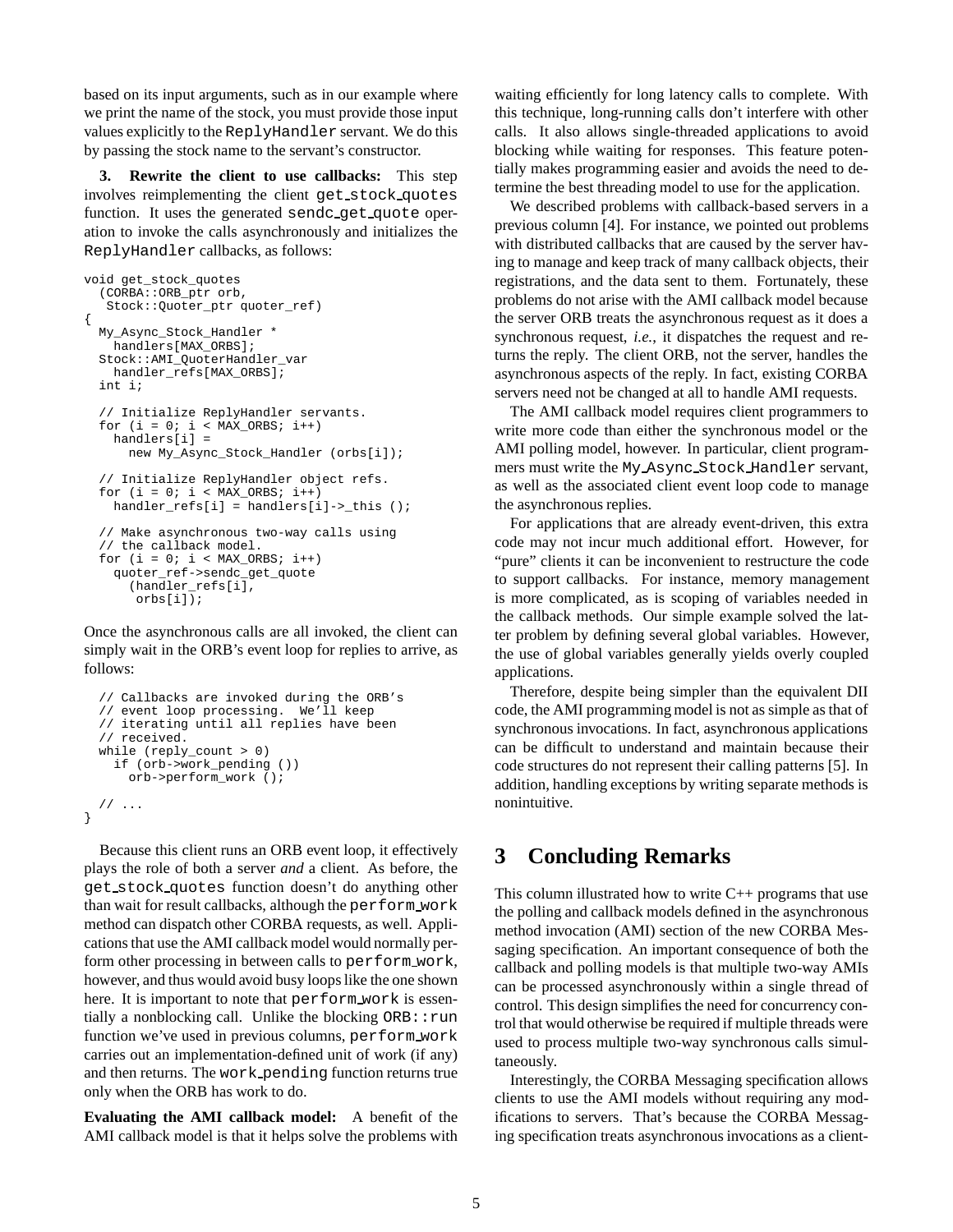based on its input arguments, such as in our example where we print the name of the stock, you must provide those input values explicitly to the ReplyHandler servant. We do this by passing the stock name to the servant's constructor.

**3. Rewrite the client to use callbacks:** This step involves reimplementing the client get stock quotes function. It uses the generated sendc\_qet\_quote operation to invoke the calls asynchronously and initializes the ReplyHandler callbacks, as follows:

```
void get_stock_quotes
  (CORBA::ORB_ptr orb,
   Stock::Quoter_ptr quoter_ref)
{
 My_Async_Stock_Handler *
    handlers[MAX_ORBS];
  Stock::AMI_QuoterHandler_var
   handler_refs[MAX_ORBS];
  int i;
  // Initialize ReplyHandler servants.
  for (i = 0; i < MAX_ORBS; i++)handlers[i] =
     new My_Async_Stock_Handler (orbs[i]);
  // Initialize ReplyHandler object refs.
  for (i = 0; i < MAX_ORES; i++)handler_refs[i] = handlers[i]->_this ();
  // Make asynchronous two-way calls using
  // the callback model.
  for (i = 0; i < MAX ORBS; i++)
    quoter_ref->sendc_get_quote
      (handler_refs[i],
       orbs[i]);
```
Once the asynchronous calls are all invoked, the client can simply wait in the ORB's event loop for replies to arrive, as follows:

```
// Callbacks are invoked during the ORB's
// event loop processing. We'll keep
// iterating until all replies have been
// received.
while (reply_count > 0)
  if (orb->work_pending ())
    orb->perform_work ();
// ...
```
}

Because this client runs an ORB event loop, it effectively plays the role of both a server *and* a client. As before, the get stock quotes function doesn't do anything other than wait for result callbacks, although the perform work method can dispatch other CORBA requests, as well. Applications that use the AMI callback model would normally perform other processing in between calls to perform work, however, and thus would avoid busy loops like the one shown here. It is important to note that perform work is essentially a nonblocking call. Unlike the blocking  $ORB:$ : run function we've used in previous columns, perform work carries out an implementation-defined unit of work (if any) and then returns. The work pending function returns true only when the ORB has work to do.

**Evaluating the AMI callback model:** A benefit of the AMI callback model is that it helps solve the problems with

waiting efficiently for long latency calls to complete. With this technique, long-running calls don't interfere with other calls. It also allows single-threaded applications to avoid blocking while waiting for responses. This feature potentially makes programming easier and avoids the need to determine the best threading model to use for the application.

We described problems with callback-based servers in a previous column [4]. For instance, we pointed out problems with distributed callbacks that are caused by the server having to manage and keep track of many callback objects, their registrations, and the data sent to them. Fortunately, these problems do not arise with the AMI callback model because the server ORB treats the asynchronous request as it does a synchronous request, *i.e.*, it dispatches the request and returns the reply. The client ORB, not the server, handles the asynchronous aspects of the reply. In fact, existing CORBA servers need not be changed at all to handle AMI requests.

The AMI callback model requires client programmers to write more code than either the synchronous model or the AMI polling model, however. In particular, client programmers must write the My Async Stock Handler servant, as well as the associated client event loop code to manage the asynchronous replies.

For applications that are already event-driven, this extra code may not incur much additional effort. However, for "pure" clients it can be inconvenient to restructure the code to support callbacks. For instance, memory management is more complicated, as is scoping of variables needed in the callback methods. Our simple example solved the latter problem by defining several global variables. However, the use of global variables generally yields overly coupled applications.

Therefore, despite being simpler than the equivalent DII code, the AMI programming model is not as simple as that of synchronous invocations. In fact, asynchronous applications can be difficult to understand and maintain because their code structures do not represent their calling patterns [5]. In addition, handling exceptions by writing separate methods is nonintuitive.

## **3 Concluding Remarks**

This column illustrated how to write  $C_{++}$  programs that use the polling and callback models defined in the asynchronous method invocation (AMI) section of the new CORBA Messaging specification. An important consequence of both the callback and polling models is that multiple two-way AMIs can be processed asynchronously within a single thread of control. This design simplifies the need for concurrency control that would otherwise be required if multiple threads were used to process multiple two-way synchronous calls simultaneously.

Interestingly, the CORBA Messaging specification allows clients to use the AMI models without requiring any modifications to servers. That's because the CORBA Messaging specification treats asynchronous invocations as a client